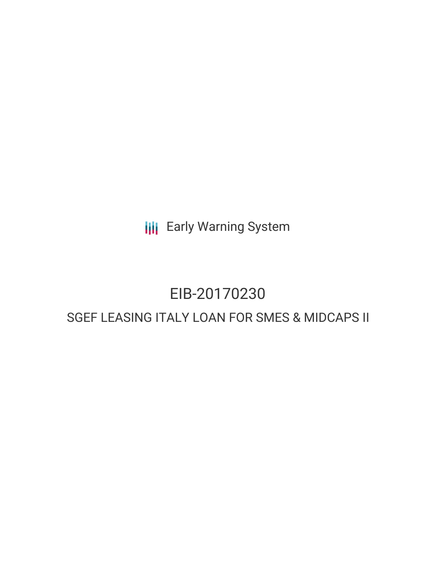**III** Early Warning System

# EIB-20170230

## SGEF LEASING ITALY LOAN FOR SMES & MIDCAPS II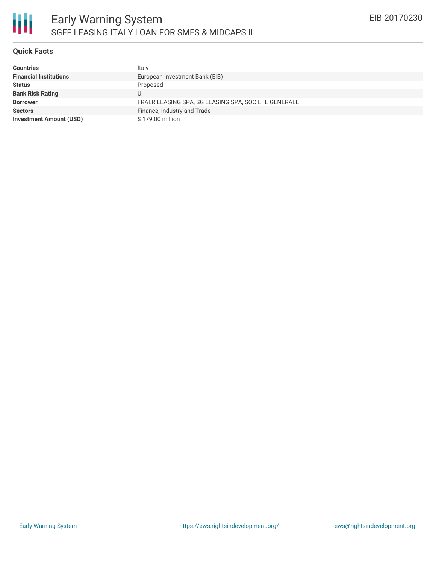### **Quick Facts**

| <b>Countries</b>               | Italy                                               |
|--------------------------------|-----------------------------------------------------|
| <b>Financial Institutions</b>  | European Investment Bank (EIB)                      |
| <b>Status</b>                  | Proposed                                            |
| <b>Bank Risk Rating</b>        | U                                                   |
| <b>Borrower</b>                | FRAER LEASING SPA, SG LEASING SPA, SOCIETE GENERALE |
| <b>Sectors</b>                 | Finance, Industry and Trade                         |
| <b>Investment Amount (USD)</b> | \$179.00 million                                    |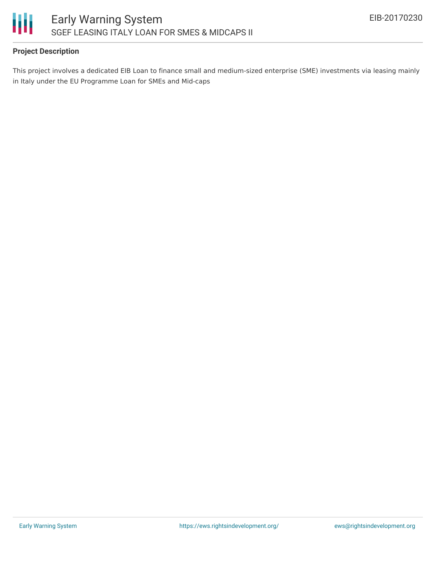

### **Project Description**

This project involves a dedicated EIB Loan to finance small and medium-sized enterprise (SME) investments via leasing mainly in Italy under the EU Programme Loan for SMEs and Mid-caps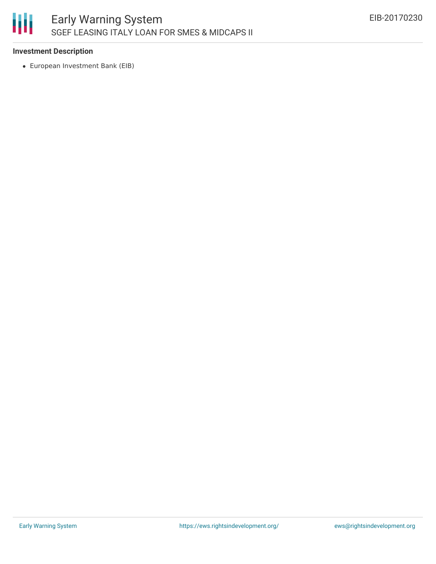

#### **Investment Description**

European Investment Bank (EIB)